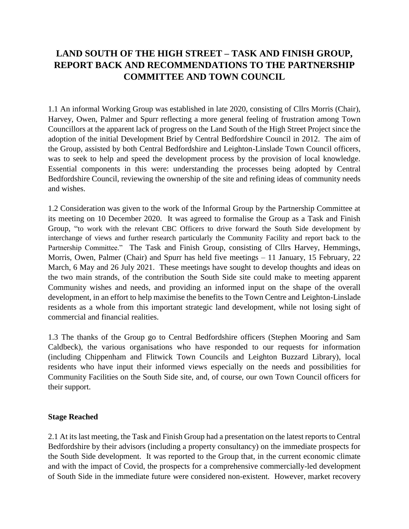# **LAND SOUTH OF THE HIGH STREET – TASK AND FINISH GROUP, REPORT BACK AND RECOMMENDATIONS TO THE PARTNERSHIP COMMITTEE AND TOWN COUNCIL**

1.1 An informal Working Group was established in late 2020, consisting of Cllrs Morris (Chair), Harvey, Owen, Palmer and Spurr reflecting a more general feeling of frustration among Town Councillors at the apparent lack of progress on the Land South of the High Street Project since the adoption of the initial Development Brief by Central Bedfordshire Council in 2012. The aim of the Group, assisted by both Central Bedfordshire and Leighton-Linslade Town Council officers, was to seek to help and speed the development process by the provision of local knowledge. Essential components in this were: understanding the processes being adopted by Central Bedfordshire Council, reviewing the ownership of the site and refining ideas of community needs and wishes.

1.2 Consideration was given to the work of the Informal Group by the Partnership Committee at its meeting on 10 December 2020. It was agreed to formalise the Group as a Task and Finish Group, "to work with the relevant CBC Officers to drive forward the South Side development by interchange of views and further research particularly the Community Facility and report back to the Partnership Committee." The Task and Finish Group, consisting of Cllrs Harvey, Hemmings, Morris, Owen, Palmer (Chair) and Spurr has held five meetings – 11 January, 15 February, 22 March, 6 May and 26 July 2021. These meetings have sought to develop thoughts and ideas on the two main strands, of the contribution the South Side site could make to meeting apparent Community wishes and needs, and providing an informed input on the shape of the overall development, in an effort to help maximise the benefits to the Town Centre and Leighton-Linslade residents as a whole from this important strategic land development, while not losing sight of commercial and financial realities.

1.3 The thanks of the Group go to Central Bedfordshire officers (Stephen Mooring and Sam Caldbeck), the various organisations who have responded to our requests for information (including Chippenham and Flitwick Town Councils and Leighton Buzzard Library), local residents who have input their informed views especially on the needs and possibilities for Community Facilities on the South Side site, and, of course, our own Town Council officers for their support.

#### **Stage Reached**

2.1 At its last meeting, the Task and Finish Group had a presentation on the latest reports to Central Bedfordshire by their advisors (including a property consultancy) on the immediate prospects for the South Side development. It was reported to the Group that, in the current economic climate and with the impact of Covid, the prospects for a comprehensive commercially-led development of South Side in the immediate future were considered non-existent. However, market recovery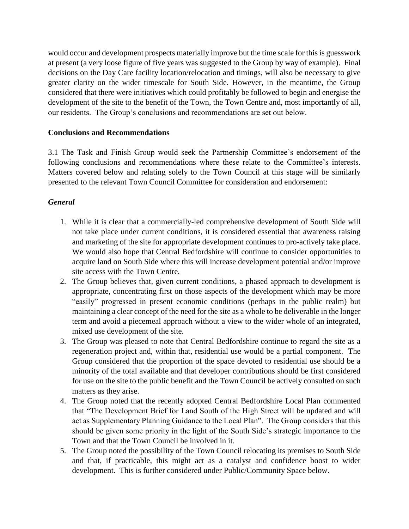would occur and development prospects materially improve but the time scale for this is guesswork at present (a very loose figure of five years was suggested to the Group by way of example). Final decisions on the Day Care facility location/relocation and timings, will also be necessary to give greater clarity on the wider timescale for South Side. However, in the meantime, the Group considered that there were initiatives which could profitably be followed to begin and energise the development of the site to the benefit of the Town, the Town Centre and, most importantly of all, our residents. The Group's conclusions and recommendations are set out below.

#### **Conclusions and Recommendations**

3.1 The Task and Finish Group would seek the Partnership Committee's endorsement of the following conclusions and recommendations where these relate to the Committee's interests. Matters covered below and relating solely to the Town Council at this stage will be similarly presented to the relevant Town Council Committee for consideration and endorsement:

### *General*

- 1. While it is clear that a commercially-led comprehensive development of South Side will not take place under current conditions, it is considered essential that awareness raising and marketing of the site for appropriate development continues to pro-actively take place. We would also hope that Central Bedfordshire will continue to consider opportunities to acquire land on South Side where this will increase development potential and/or improve site access with the Town Centre.
- 2. The Group believes that, given current conditions, a phased approach to development is appropriate, concentrating first on those aspects of the development which may be more "easily" progressed in present economic conditions (perhaps in the public realm) but maintaining a clear concept of the need for the site as a whole to be deliverable in the longer term and avoid a piecemeal approach without a view to the wider whole of an integrated, mixed use development of the site.
- 3. The Group was pleased to note that Central Bedfordshire continue to regard the site as a regeneration project and, within that, residential use would be a partial component. The Group considered that the proportion of the space devoted to residential use should be a minority of the total available and that developer contributions should be first considered for use on the site to the public benefit and the Town Council be actively consulted on such matters as they arise.
- 4. The Group noted that the recently adopted Central Bedfordshire Local Plan commented that "The Development Brief for Land South of the High Street will be updated and will act as Supplementary Planning Guidance to the Local Plan". The Group considers that this should be given some priority in the light of the South Side's strategic importance to the Town and that the Town Council be involved in it.
- 5. The Group noted the possibility of the Town Council relocating its premises to South Side and that, if practicable, this might act as a catalyst and confidence boost to wider development. This is further considered under Public/Community Space below.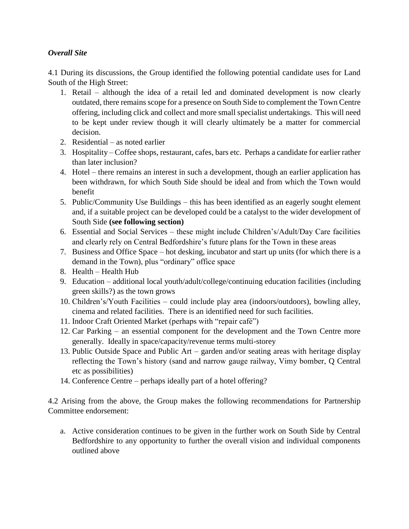#### *Overall Site*

4.1 During its discussions, the Group identified the following potential candidate uses for Land South of the High Street:

- 1. Retail although the idea of a retail led and dominated development is now clearly outdated, there remains scope for a presence on South Side to complement the Town Centre offering, including click and collect and more small specialist undertakings. This will need to be kept under review though it will clearly ultimately be a matter for commercial decision.
- 2. Residential as noted earlier
- 3. Hospitality Coffee shops, restaurant, cafes, bars etc. Perhaps a candidate for earlier rather than later inclusion?
- 4. Hotel there remains an interest in such a development, though an earlier application has been withdrawn, for which South Side should be ideal and from which the Town would benefit
- 5. Public/Community Use Buildings this has been identified as an eagerly sought element and, if a suitable project can be developed could be a catalyst to the wider development of South Side **(see following section)**
- 6. Essential and Social Services these might include Children's/Adult/Day Care facilities and clearly rely on Central Bedfordshire's future plans for the Town in these areas
- 7. Business and Office Space hot desking, incubator and start up units (for which there is a demand in the Town), plus "ordinary" office space
- 8. Health Health Hub
- 9. Education additional local youth/adult/college/continuing education facilities (including green skills?) as the town grows
- 10. Children's/Youth Facilities could include play area (indoors/outdoors), bowling alley, cinema and related facilities. There is an identified need for such facilities.
- 11. Indoor Craft Oriented Market (perhaps with "repair café")
- 12. Car Parking an essential component for the development and the Town Centre more generally. Ideally in space/capacity/revenue terms multi-storey
- 13. Public Outside Space and Public Art garden and/or seating areas with heritage display reflecting the Town's history (sand and narrow gauge railway, Vimy bomber, Q Central etc as possibilities)
- 14. Conference Centre perhaps ideally part of a hotel offering?

4.2 Arising from the above, the Group makes the following recommendations for Partnership Committee endorsement:

a. Active consideration continues to be given in the further work on South Side by Central Bedfordshire to any opportunity to further the overall vision and individual components outlined above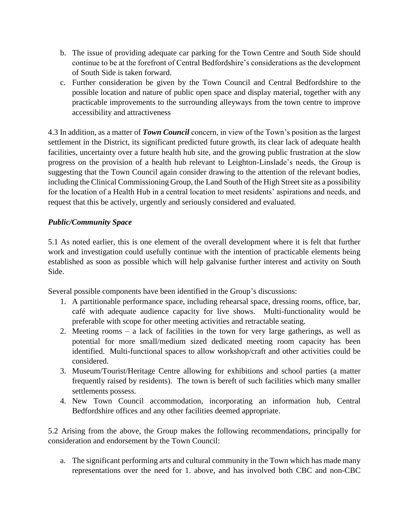- b. The issue of providing adequate car parking for the Town Centre and South Side should continue to be at the forefront of Central Bedfordshire's considerations as the development of South Side is taken forward.
- c. Further consideration be given by the Town Council and Central Bedfordshire to the possible location and nature of public open space and display material, together with any practicable improvements to the surrounding alleyways from the town centre to improve accessibility and attractiveness

4.3 In addition, as a matter of *Town Council* concern, in view of the Town's position as the largest settlement in the District, its significant predicted future growth, its clear lack of adequate health facilities, uncertainty over a future health hub site, and the growing public frustration at the slow progress on the provision of a health hub relevant to Leighton-Linslade's needs, the Group is suggesting that the Town Council again consider drawing to the attention of the relevant bodies, including the Clinical Commissioning Group, the Land South of the High Street site as a possibility for the location of a Health Hub in a central location to meet residents' aspirations and needs, and request that this be actively, urgently and seriously considered and evaluated.

## *Public/Community Space*

5.1 As noted earlier, this is one element of the overall development where it is felt that further work and investigation could usefully continue with the intention of practicable elements being established as soon as possible which will help galvanise further interest and activity on South Side.

Several possible components have been identified in the Group's discussions:

- 1. A partitionable performance space, including rehearsal space, dressing rooms, office, bar, café with adequate audience capacity for live shows. Multi-functionality would be preferable with scope for other meeting activities and retractable seating.
- 2. Meeting rooms a lack of facilities in the town for very large gatherings, as well as potential for more small/medium sized dedicated meeting room capacity has been identified. Multi-functional spaces to allow workshop/craft and other activities could be considered.
- 3. Museum/Tourist/Heritage Centre allowing for exhibitions and school parties (a matter frequently raised by residents). The town is bereft of such facilities which many smaller settlements possess.
- 4. New Town Council accommodation, incorporating an information hub, Central Bedfordshire offices and any other facilities deemed appropriate.

5.2 Arising from the above, the Group makes the following recommendations, principally for consideration and endorsement by the Town Council:

a. The significant performing arts and cultural community in the Town which has made many representations over the need for 1. above, and has involved both CBC and non-CBC